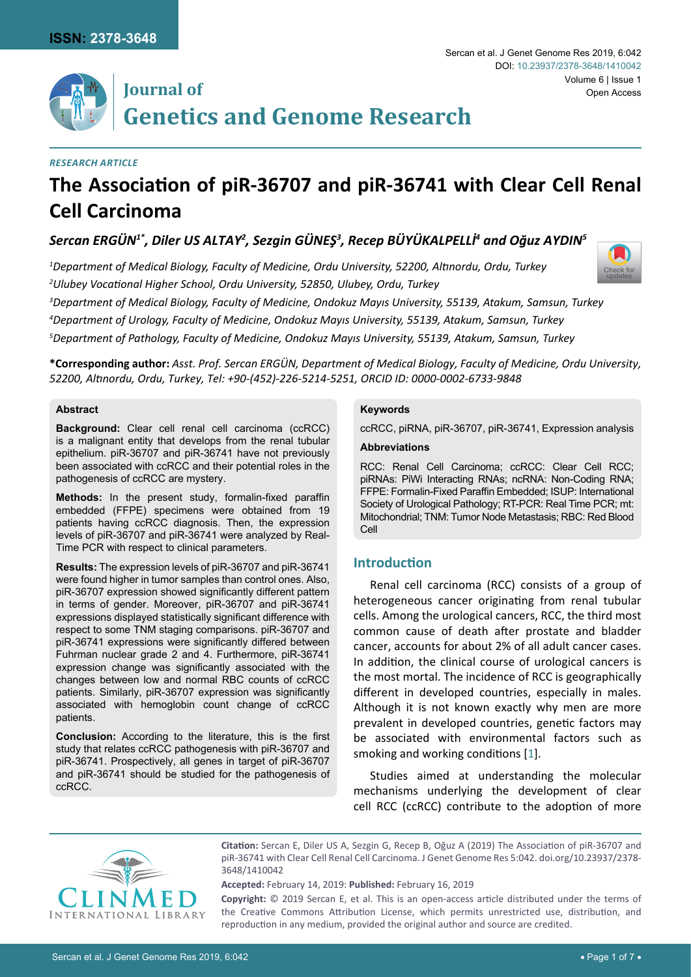[Check for](http://crossmark.crossref.org/dialog/?doi=10.23937/2378-3648/1410042&domain=pdf) updates



#### *Research Article*

# **The Association of piR-36707 and piR-36741 with Clear Cell Renal Cell Carcinoma**

# *Sercan ERGÜN1\*, Diler US ALTAY2 , Sezgin GÜNEŞ<sup>3</sup> , Recep BÜYÜKALPELLİ<sup>4</sup> and Oğuz AYDIN<sup>5</sup>*

*1 Department of Medical Biology, Faculty of Medicine, Ordu University, 52200, Altınordu, Ordu, Turkey 2 Ulubey Vocational Higher School, Ordu University, 52850, Ulubey, Ordu, Turkey*

*3 Department of Medical Biology, Faculty of Medicine, Ondokuz Mayıs University, 55139, Atakum, Samsun, Turkey*

*4 Department of Urology, Faculty of Medicine, Ondokuz Mayıs University, 55139, Atakum, Samsun, Turkey*

*5 Department of Pathology, Faculty of Medicine, Ondokuz Mayıs University, 55139, Atakum, Samsun, Turkey*

**\*Corresponding author:** *Asst. Prof. Sercan ERGÜN, Department of Medical Biology, Faculty of Medicine, Ordu University, 52200, Altınordu, Ordu, Turkey, Tel: +90-(452)-226-5214-5251, ORCID ID: 0000-0002-6733-9848*

#### **Abstract**

**Background:** Clear cell renal cell carcinoma (ccRCC) is a malignant entity that develops from the renal tubular epithelium. piR-36707 and piR-36741 have not previously been associated with ccRCC and their potential roles in the pathogenesis of ccRCC are mystery.

**Methods:** In the present study, formalin-fixed paraffin embedded (FFPE) specimens were obtained from 19 patients having ccRCC diagnosis. Then, the expression levels of piR-36707 and piR-36741 were analyzed by Real-Time PCR with respect to clinical parameters.

**Results:** The expression levels of piR-36707 and piR-36741 were found higher in tumor samples than control ones. Also, piR-36707 expression showed significantly different pattern in terms of gender. Moreover, piR-36707 and piR-36741 expressions displayed statistically significant difference with respect to some TNM staging comparisons. piR-36707 and piR-36741 expressions were significantly differed between Fuhrman nuclear grade 2 and 4. Furthermore, piR-36741 expression change was significantly associated with the changes between low and normal RBC counts of ccRCC patients. Similarly, piR-36707 expression was significantly associated with hemoglobin count change of ccRCC patients.

**Conclusion:** According to the literature, this is the first study that relates ccRCC pathogenesis with piR-36707 and piR-36741. Prospectively, all genes in target of piR-36707 and piR-36741 should be studied for the pathogenesis of ccRCC.

#### **Keywords**

ccRCC, piRNA, piR-36707, piR-36741, Expression analysis

#### **Abbreviations**

RCC: Renal Cell Carcinoma; ccRCC: Clear Cell RCC; piRNAs: PiWi Interacting RNAs; ncRNA: Non-Coding RNA; FFPE: Formalin-Fixed Paraffin Embedded; ISUP: International Society of Urological Pathology; RT-PCR: Real Time PCR; mt: Mitochondrial; TNM: Tumor Node Metastasis; RBC: Red Blood Cell

# **Introduction**

Renal cell carcinoma (RCC) consists of a group of heterogeneous cancer originating from renal tubular cells. Among the urological cancers, RCC, the third most common cause of death after prostate and bladder cancer, accounts for about 2% of all adult cancer cases. In addition, the clinical course of urological cancers is the most mortal. The incidence of RCC is geographically different in developed countries, especially in males. Although it is not known exactly why men are more prevalent in developed countries, genetic factors may be associated with environmental factors such as smoking and working conditions [[1](#page-4-0)].

Studies aimed at understanding the molecular mechanisms underlying the development of clear cell RCC (ccRCC) contribute to the adoption of more



**Citation:** Sercan E, Diler US A, Sezgin G, Recep B, Oğuz A (2019) The Association of piR-36707 and piR-36741 with Clear Cell Renal Cell Carcinoma. J Genet Genome Res 5:042. [doi.org/10.23937/2378-](https://doi.org/10.23937/2378-3648/1410042) [3648/1410042](https://doi.org/10.23937/2378-3648/1410042)

**Accepted:** February 14, 2019: **Published:** February 16, 2019

**Copyright:** © 2019 Sercan E, et al. This is an open-access article distributed under the terms of the Creative Commons Attribution License, which permits unrestricted use, distribution, and reproduction in any medium, provided the original author and source are credited.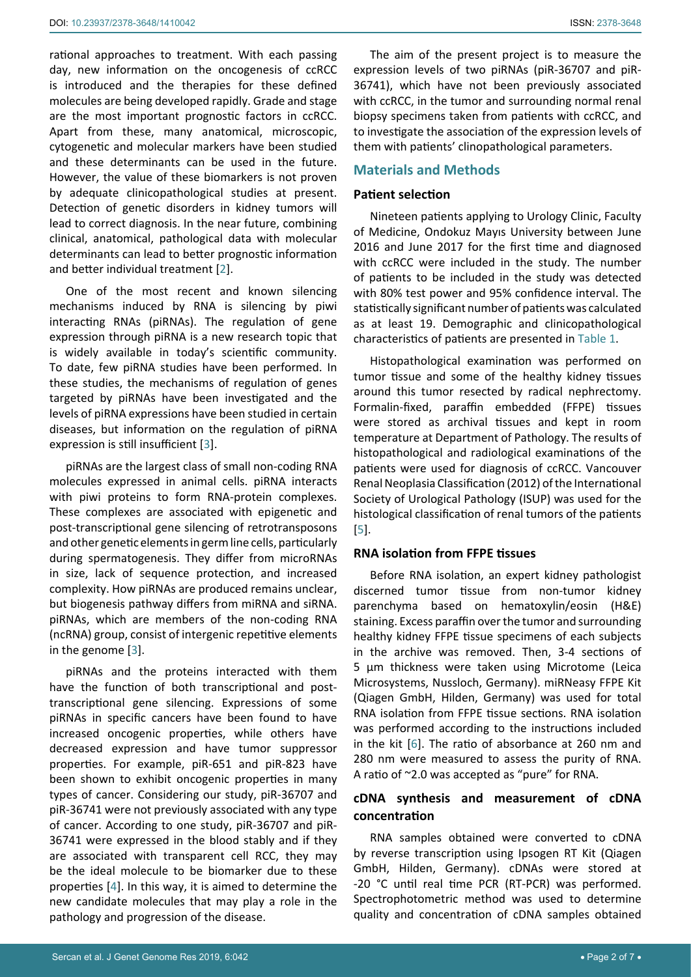rational approaches to treatment. With each passing day, new information on the oncogenesis of ccRCC is introduced and the therapies for these defined molecules are being developed rapidly. Grade and stage are the most important prognostic factors in ccRCC. Apart from these, many anatomical, microscopic, cytogenetic and molecular markers have been studied and these determinants can be used in the future. However, the value of these biomarkers is not proven by adequate clinicopathological studies at present. Detection of genetic disorders in kidney tumors will lead to correct diagnosis. In the near future, combining clinical, anatomical, pathological data with molecular determinants can lead to better prognostic information and better individual treatment [\[2\]](#page-4-3).

One of the most recent and known silencing mechanisms induced by RNA is silencing by piwi interacting RNAs (piRNAs). The regulation of gene expression through piRNA is a new research topic that is widely available in today's scientific community. To date, few piRNA studies have been performed. In these studies, the mechanisms of regulation of genes targeted by piRNAs have been investigated and the levels of piRNA expressions have been studied in certain diseases, but information on the regulation of piRNA expression is still insufficient [[3](#page-4-4)].

piRNAs are the largest class of small non-coding RNA molecules expressed in animal cells. piRNA interacts with piwi proteins to form RNA-protein complexes. These complexes are associated with epigenetic and post-transcriptional gene silencing of retrotransposons and other genetic elements in germ line cells, particularly during spermatogenesis. They differ from microRNAs in size, lack of sequence protection, and increased complexity. How piRNAs are produced remains unclear, but biogenesis pathway differs from miRNA and siRNA. piRNAs, which are members of the non-coding RNA (ncRNA) group, consist of intergenic repetitive elements in the genome [\[3\]](#page-4-4).

piRNAs and the proteins interacted with them have the function of both transcriptional and posttranscriptional gene silencing. Expressions of some piRNAs in specific cancers have been found to have increased oncogenic properties, while others have decreased expression and have tumor suppressor properties. For example, piR-651 and piR-823 have been shown to exhibit oncogenic properties in many types of cancer. Considering our study, piR-36707 and piR-36741 were not previously associated with any type of cancer. According to one study, piR-36707 and piR-36741 were expressed in the blood stably and if they are associated with transparent cell RCC, they may be the ideal molecule to be biomarker due to these properties [\[4\]](#page-4-5). In this way, it is aimed to determine the new candidate molecules that may play a role in the pathology and progression of the disease.

The aim of the present project is to measure the expression levels of two piRNAs (piR-36707 and piR-36741), which have not been previously associated with ccRCC, in the tumor and surrounding normal renal biopsy specimens taken from patients with ccRCC, and to investigate the association of the expression levels of them with patients' clinopathological parameters.

# **Materials and Methods**

## **Patient selection**

Nineteen patients applying to Urology Clinic, Faculty of Medicine, Ondokuz Mayıs University between June 2016 and June 2017 for the first time and diagnosed with ccRCC were included in the study. The number of patients to be included in the study was detected with 80% test power and 95% confidence interval. The statistically significant number of patients was calculated as at least 19. Demographic and clinicopathological characteristics of patients are presented in [Table 1.](#page-3-0)

Histopathological examination was performed on tumor tissue and some of the healthy kidney tissues around this tumor resected by radical nephrectomy. Formalin-fixed, paraffin embedded (FFPE) tissues were stored as archival tissues and kept in room temperature at Department of Pathology. The results of histopathological and radiological examinations of the patients were used for diagnosis of ccRCC. Vancouver Renal Neoplasia Classification (2012) of the International Society of Urological Pathology (ISUP) was used for the histological classification of renal tumors of the patients [\[5\]](#page-4-1).

# **RNA isolation from FFPE tissues**

Before RNA isolation, an expert kidney pathologist discerned tumor tissue from non-tumor kidney parenchyma based on hematoxylin/eosin (H&E) staining. Excess paraffin over the tumor and surrounding healthy kidney FFPE tissue specimens of each subjects in the archive was removed. Then, 3-4 sections of 5 μm thickness were taken using Microtome (Leica Microsystems, Nussloch, Germany). miRNeasy FFPE Kit (Qiagen GmbH, Hilden, Germany) was used for total RNA isolation from FFPE tissue sections. RNA isolation was performed according to the instructions included in the kit [\[6\]](#page-4-2). The ratio of absorbance at 260 nm and 280 nm were measured to assess the purity of RNA. A ratio of ~2.0 was accepted as "pure" for RNA.

# **cDNA synthesis and measurement of cDNA concentration**

RNA samples obtained were converted to cDNA by reverse transcription using Ipsogen RT Kit (Qiagen GmbH, Hilden, Germany). cDNAs were stored at -20 °C until real time PCR (RT-PCR) was performed. Spectrophotometric method was used to determine quality and concentration of cDNA samples obtained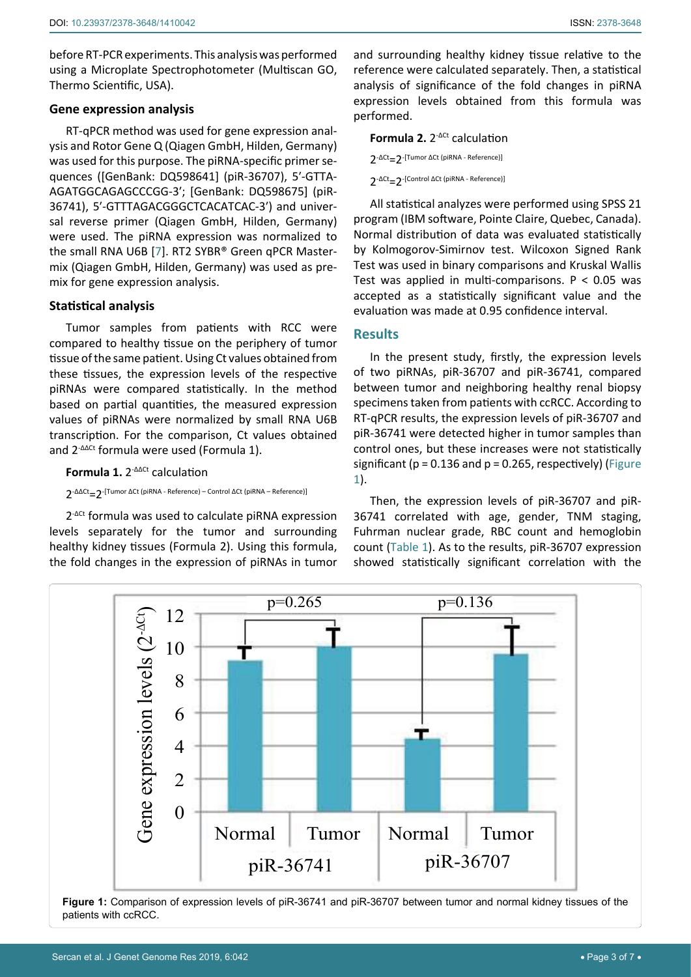before RT-PCR experiments. This analysis was performed using a Microplate Spectrophotometer (Multiscan GO, Thermo Scientific, USA).

#### **Gene expression analysis**

RT-qPCR method was used for gene expression analysis and Rotor Gene Q (Qiagen GmbH, Hilden, Germany) was used for this purpose. The piRNA-specific [primer](https://www.sciencedirect.com/topics/biochemistry-genetics-and-molecular-biology/primer-molecular-biology) sequences ([GenBank: [DQ598641](http://www.ncbi.nlm.nih.gov/entrez/query.fcgi?cmd=search&db=nucleotide&doptcmdl=genbank&term=DQ598641)] (piR-36707), 5′-GTTA-AGATGGCAGAGCCCGG-3′; [GenBank: [DQ598675](http://www.ncbi.nlm.nih.gov/entrez/query.fcgi?cmd=search&db=nucleotide&doptcmdl=genbank&term=DQ598675)] (piR-36741), 5′-GTTTAGACGGGCTCACATCAC-3′) and universal reverse primer (Qiagen GmbH, Hilden, Germany) were used. The piRNA expression was normalized to the [small RNA](https://www.sciencedirect.com/topics/biochemistry-genetics-and-molecular-biology/bacterial-small-rna) U6B [[7](#page-4-6)]. RT2 SYBR® Green qPCR Mastermix (Qiagen GmbH, Hilden, Germany) was used as premix for gene expression analysis.

#### **Statistical analysis**

Tumor samples from patients with RCC were compared to healthy tissue on the periphery of tumor tissue of the same patient. Using Ct values obtained from these tissues, the expression levels of the respective piRNAs were compared statistically. In the method based on partial quantities, the measured expression values of piRNAs were normalized by [small RNA](https://www.sciencedirect.com/topics/biochemistry-genetics-and-molecular-biology/bacterial-small-rna) U6B transcription. For the comparison, Ct values obtained and 2-ΔΔCt formula were used (Formula 1).

**Formula 1.** 2<sup>-ΔΔCt</sup> calculation

2-ΔΔCt=2-[Tumor ΔCt (piRNA - Reference) – Control ΔCt (piRNA – Reference)]

2-ΔCt formula was used to calculate piRNA expression levels separately for the tumor and surrounding healthy kidney tissues (Formula 2). Using this formula, the fold changes in the expression of piRNAs in tumor and surrounding healthy kidney tissue relative to the reference were calculated separately. Then, a statistical analysis of significance of the fold changes in piRNA expression levels obtained from this formula was performed.

# **Formula 2.** 2-ΔCt calculation 2<sup>-ΔCt</sup>=2<sup>-[Tumor ΔCt (piRNA - Reference)]</sup> 2-ΔCt=2-[Control ΔCt (piRNA - Reference)]

All statistical analyzes were performed using SPSS 21 program (IBM software, Pointe Claire, Quebec, Canada). Normal distribution of data was evaluated statistically by Kolmogorov-Simirnov test. Wilcoxon Signed Rank Test was used in binary comparisons and Kruskal Wallis Test was applied in multi-comparisons. P < 0.05 was accepted as a statistically significant value and the evaluation was made at 0.95 confidence interval.

# **Results**

In the present study, firstly, the expression levels of two piRNAs, piR-36707 and piR-36741, compared between tumor and neighboring healthy renal biopsy specimens taken from patients with ccRCC. According to RT-qPCR results, the expression levels of piR-36707 and piR-36741 were detected higher in tumor samples than control ones, but these increases were not statistically significant ( $p = 0.136$  and  $p = 0.265$ , respectively) (Figure [1](#page-2-0)).

Then, the expression levels of piR-36707 and piR-36741 correlated with age, gender, TNM staging, Fuhrman nuclear grade, RBC count and hemoglobin count [\(Table 1](#page-3-0)). As to the results, piR-36707 expression showed statistically significant correlation with the

<span id="page-2-0"></span>

**Figure 1:** Comparison of expression levels of piR-36741 and piR-36707 between tumor and normal kidney tissues of the patients with ccRCC.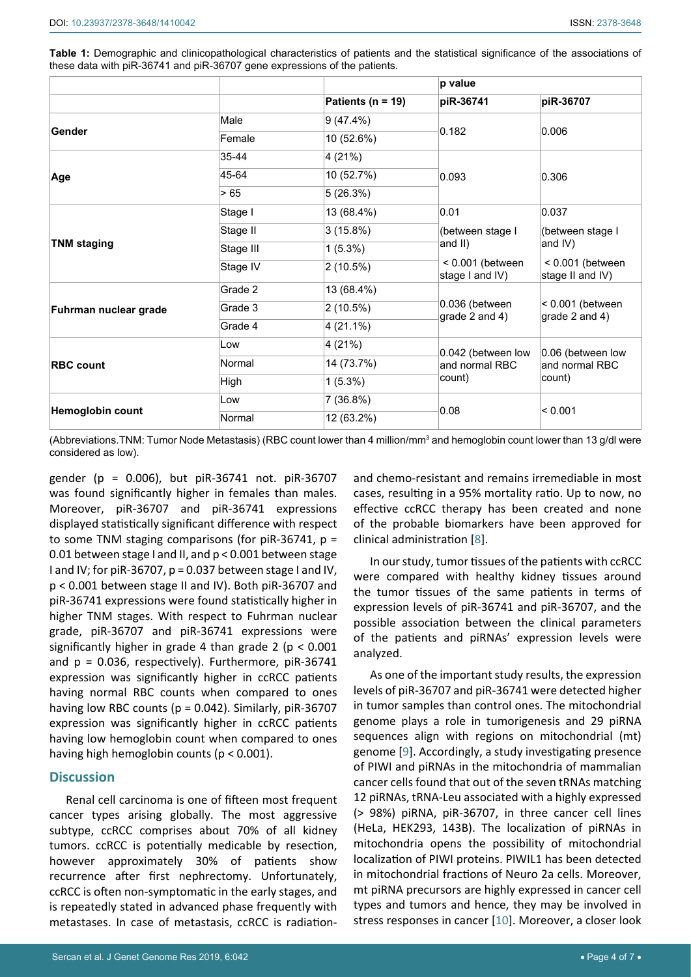<span id="page-3-0"></span>**Table 1:** Demographic and clinicopathological characteristics of patients and the statistical significance of the associations of these data with piR-36741 and piR-36707 gene expressions of the patients.

|                       |             |                       | p value                                        |                                               |
|-----------------------|-------------|-----------------------|------------------------------------------------|-----------------------------------------------|
|                       |             | Patients ( $n = 19$ ) | piR-36741                                      | piR-36707                                     |
| Gender                | Male        | 9(47.4%)              | 0.182                                          | 0.006                                         |
|                       | Female      | 10 (52.6%)            |                                                |                                               |
| Age                   | 35-44       | 4 (21%)               | 0.093                                          | 0.306                                         |
|                       | 45-64       | 10 (52.7%)            |                                                |                                               |
|                       | >65         | 5(26.3%)              |                                                |                                               |
| <b>TNM staging</b>    | Stage I     | 13 (68.4%)            | 0.01<br>(between stage I<br>and II)            | 0.037<br>(between stage I<br>and IV)          |
|                       | Stage II    | 3(15.8%)              |                                                |                                               |
|                       | Stage III   | $1(5.3\%)$            |                                                |                                               |
|                       | Stage IV    | 2(10.5%)              | $< 0.001$ (between<br>stage I and IV)          | $< 0.001$ (between<br>stage II and IV)        |
| Fuhrman nuclear grade | Grade 2     | 13 (68.4%)            | 0.036 (between<br>grade 2 and 4)               | $< 0.001$ (between<br>grade 2 and 4)          |
|                       | Grade 3     | 2(10.5%)              |                                                |                                               |
|                       | Grade 4     | $4(21.1\%)$           |                                                |                                               |
| <b>RBC count</b>      | Low         | 4 (21%)               | 0.042 (between low<br>and normal RBC<br>count) | 0.06 (between low<br>and normal RBC<br>count) |
|                       | Normal      | 14 (73.7%)            |                                                |                                               |
|                       | <b>High</b> | $1(5.3\%)$            |                                                |                                               |
| Hemoglobin count      | Low         | 7 (36.8%)             | 0.08                                           | < 0.001                                       |
|                       | Normal      | 12 (63.2%)            |                                                |                                               |

(Abbreviations.TNM: Tumor Node Metastasis) (RBC count lower than 4 million/mm<sup>3</sup> and hemoglobin count lower than 13 g/dl were considered as low).

gender (p = 0.006), but piR-36741 not. piR-36707 was found significantly higher in females than males. Moreover, piR-36707 and piR-36741 expressions displayed statistically significant difference with respect to some TNM staging comparisons (for piR-36741, p = 0.01 between stage I and II, and p < 0.001 between stage I and IV; for piR-36707, p = 0.037 between stage I and IV, p < 0.001 between stage II and IV). Both piR-36707 and piR-36741 expressions were found statistically higher in higher TNM stages. With respect to Fuhrman nuclear grade, piR-36707 and piR-36741 expressions were significantly higher in grade 4 than grade 2 ( $p < 0.001$ ) and  $p = 0.036$ , respectively). Furthermore, piR-36741 expression was significantly higher in ccRCC patients having normal RBC counts when compared to ones having low RBC counts ( $p = 0.042$ ). Similarly,  $pi-36707$ expression was significantly higher in ccRCC patients having low hemoglobin count when compared to ones having high hemoglobin counts (p < 0.001).

#### **Discussion**

Renal cell carcinoma is one of fifteen most frequent cancer types arising globally. The most aggressive subtype, ccRCC comprises about 70% of all kidney tumors. ccRCC is potentially medicable by resection, however approximately 30% of patients show recurrence after first nephrectomy. Unfortunately, ccRCC is often non-symptomatic in the early stages, and is repeatedly stated in advanced phase frequently with metastases. In case of metastasis, ccRCC is radiation-

Sercan et al. J Genet Genome Res 2019, 6:042 • Page 4 of 7 •

and chemo-resistant and remains irremediable in most cases, resulting in a 95% mortality ratio. Up to now, no effective ccRCC therapy has been created and none of the probable biomarkers have been approved for clinical administration [[8\]](#page-5-0).

In our study, tumor tissues of the patients with ccRCC were compared with healthy kidney tissues around the tumor tissues of the same patients in terms of expression levels of piR-36741 and piR-36707, and the possible association between the clinical parameters of the patients and piRNAs' expression levels were analyzed.

As one of the important study results, the expression levels of piR-36707 and piR-36741 were detected higher in tumor samples than control ones. The mitochondrial genome plays a role in tumorigenesis and 29 piRNA sequences align with regions on mitochondrial (mt) genome [[9\]](#page-5-1). Accordingly, a study investigating presence of PIWI and piRNAs in the mitochondria of mammalian cancer cells found that out of the seven tRNAs matching 12 piRNAs, tRNA-Leu associated with a highly expressed (> 98%) piRNA, piR-36707, in three cancer cell lines (HeLa, HEK293, 143B). The localization of piRNAs in mitochondria opens the possibility of mitochondrial localization of PIWI proteins. PIWIL1 has been detected in mitochondrial fractions of Neuro 2a cells. Moreover, mt piRNA precursors are highly expressed in cancer cell types and tumors and hence, they may be involved in stress responses in cancer [\[10](#page-5-2)]. Moreover, a closer look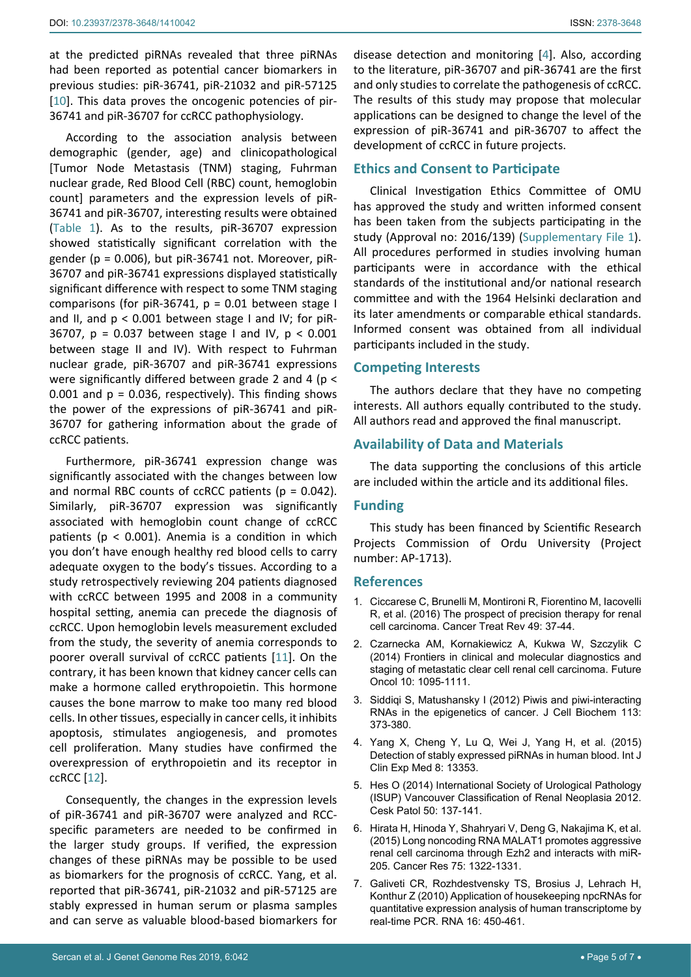at the predicted piRNAs revealed that three piRNAs had been reported as potential cancer biomarkers in previous studies: piR-36741, piR-21032 and piR-57125 [[10](#page-5-2)]. This data proves the oncogenic potencies of pir-36741 and piR-36707 for ccRCC pathophysiology.

According to the association analysis between demographic (gender, age) and clinicopathological [Tumor Node Metastasis (TNM) staging, Fuhrman nuclear grade, Red Blood Cell (RBC) count, hemoglobin count] parameters and the expression levels of piR-36741 and piR-36707, interesting results were obtained ([Table 1\)](#page-3-0). As to the results, piR-36707 expression showed statistically significant correlation with the gender ( $p = 0.006$ ), but piR-36741 not. Moreover, piR-36707 and piR-36741 expressions displayed statistically significant difference with respect to some TNM staging comparisons (for piR-36741,  $p = 0.01$  between stage I and II, and  $p < 0.001$  between stage I and IV; for piR-36707, p = 0.037 between stage I and IV, p < 0.001 between stage II and IV). With respect to Fuhrman nuclear grade, piR-36707 and piR-36741 expressions were significantly differed between grade 2 and 4 (p < 0.001 and  $p = 0.036$ , respectively). This finding shows the power of the expressions of piR-36741 and piR-36707 for gathering information about the grade of ccRCC patients.

Furthermore, piR-36741 expression change was significantly associated with the changes between low and normal RBC counts of ccRCC patients ( $p = 0.042$ ). Similarly, piR-36707 expression was significantly associated with hemoglobin count change of ccRCC patients ( $p < 0.001$ ). Anemia is a condition in which you don't have enough healthy red blood cells to carry adequate oxygen to the body's tissues. According to a study retrospectively reviewing 204 patients diagnosed with ccRCC between 1995 and 2008 in a community hospital setting, anemia can precede the diagnosis of ccRCC. Upon hemoglobin levels measurement excluded from the study, the severity of anemia corresponds to poorer overall survival of ccRCC patients [\[11](#page-5-3)]. On the contrary, it has been known that kidney cancer cells can make a hormone called erythropoietin. This hormone causes the bone marrow to make too many red blood cells. In other tissues, especially in cancer cells, it inhibits apoptosis, stimulates angiogenesis, and promotes cell proliferation. Many studies have confirmed the overexpression of erythropoietin and its receptor in ccRCC [\[12\]](#page-5-4).

Consequently, the changes in the expression levels of piR-36741 and piR-36707 were analyzed and RCCspecific parameters are needed to be confirmed in the larger study groups. If verified, the expression changes of these piRNAs may be possible to be used as biomarkers for the prognosis of ccRCC. Yang, et al. reported that piR-36741, piR-21032 and piR-57125 are stably expressed in human serum or plasma samples and can serve as valuable blood-based biomarkers for

disease detection and monitoring [\[4\]](#page-4-5). Also, according to the literature, piR-36707 and piR-36741 are the first and only studies to correlate the pathogenesis of ccRCC. The results of this study may propose that molecular applications can be designed to change the level of the expression of piR-36741 and piR-36707 to affect the development of ccRCC in future projects.

# **Ethics and Consent to Participate**

Clinical Investigation Ethics Committee of OMU has approved the study and written informed consent has been taken from the subjects participating in the study (Approval no: 2016/139) ([Supplementary File 1\)](#page-6-0). All procedures performed in studies involving human participants were in accordance with the ethical standards of the institutional and/or national research committee and with the 1964 Helsinki declaration and its later amendments or comparable ethical standards. Informed consent was obtained from all individual participants included in the study.

### **Competing Interests**

The authors declare that they have no competing interests. All authors equally contributed to the study. All authors read and approved the final manuscript.

# **Availability of Data and Materials**

The data supporting the conclusions of this article are included within the article and its additional files.

# **Funding**

This study has been financed by Scientific Research Projects Commission of Ordu University (Project number: AP-1713).

#### **References**

- <span id="page-4-0"></span>1. [Ciccarese C, Brunelli M, Montironi R, Fiorentino M, Iacovelli](https://www.ncbi.nlm.nih.gov/pubmed/27453294)  [R, et al. \(2016\) The prospect of precision therapy for renal](https://www.ncbi.nlm.nih.gov/pubmed/27453294)  [cell carcinoma. Cancer Treat Rev 49: 37-44.](https://www.ncbi.nlm.nih.gov/pubmed/27453294)
- <span id="page-4-3"></span>2. [Czarnecka AM, Kornakiewicz A, Kukwa W, Szczylik C](https://www.ncbi.nlm.nih.gov/pubmed/24941992)  [\(2014\) Frontiers in clinical and molecular diagnostics and](https://www.ncbi.nlm.nih.gov/pubmed/24941992)  [staging of metastatic clear cell renal cell carcinoma. Future](https://www.ncbi.nlm.nih.gov/pubmed/24941992)  [Oncol 10: 1095-1111.](https://www.ncbi.nlm.nih.gov/pubmed/24941992)
- <span id="page-4-4"></span>3. [Siddiqi S, Matushansky I \(2012\) Piwis and piwi](https://www.ncbi.nlm.nih.gov/pubmed/21928326)-interacting [RNAs in the epigenetics of cancer. J Cell Biochem 113:](https://www.ncbi.nlm.nih.gov/pubmed/21928326)  [373-380.](https://www.ncbi.nlm.nih.gov/pubmed/21928326)
- <span id="page-4-5"></span>4. [Yang X, Cheng Y, Lu Q, Wei J, Yang H, et al. \(2015\)](https://www.ncbi.nlm.nih.gov/pubmed/26550265)  [Detection of stably expressed piRNAs in human blood. Int J](https://www.ncbi.nlm.nih.gov/pubmed/26550265)  [Clin Exp Med 8: 13353.](https://www.ncbi.nlm.nih.gov/pubmed/26550265)
- <span id="page-4-1"></span>5. [Hes O \(2014\) International Society of Urological Pathology](https://www.ncbi.nlm.nih.gov/pubmed/25418900)  [\(ISUP\) Vancouver Classification of Renal Neoplasia 2012.](https://www.ncbi.nlm.nih.gov/pubmed/25418900)  [Cesk Patol 50: 137-141.](https://www.ncbi.nlm.nih.gov/pubmed/25418900)
- <span id="page-4-2"></span>6. [Hirata H, Hinoda Y, Shahryari V, Deng G, Nakajima K, et al.](https://www.ncbi.nlm.nih.gov/pubmed/25600645)  [\(2015\) Long noncoding RNA MALAT1 promotes aggressive](https://www.ncbi.nlm.nih.gov/pubmed/25600645)  [renal cell carcinoma through Ezh2 and interacts with miR-](https://www.ncbi.nlm.nih.gov/pubmed/25600645)[205. Cancer Res 75: 1322-1331.](https://www.ncbi.nlm.nih.gov/pubmed/25600645)
- <span id="page-4-6"></span>7. [Galiveti CR, Rozhdestvensky TS, Brosius J, Lehrach H,](https://www.ncbi.nlm.nih.gov/pubmed/20040593)  [Konthur Z \(2010\) Application of housekeeping npcRNAs for](https://www.ncbi.nlm.nih.gov/pubmed/20040593)  [quantitative expression analysis of human transcriptome by](https://www.ncbi.nlm.nih.gov/pubmed/20040593)  [real-time PCR. RNA 16: 450-461.](https://www.ncbi.nlm.nih.gov/pubmed/20040593)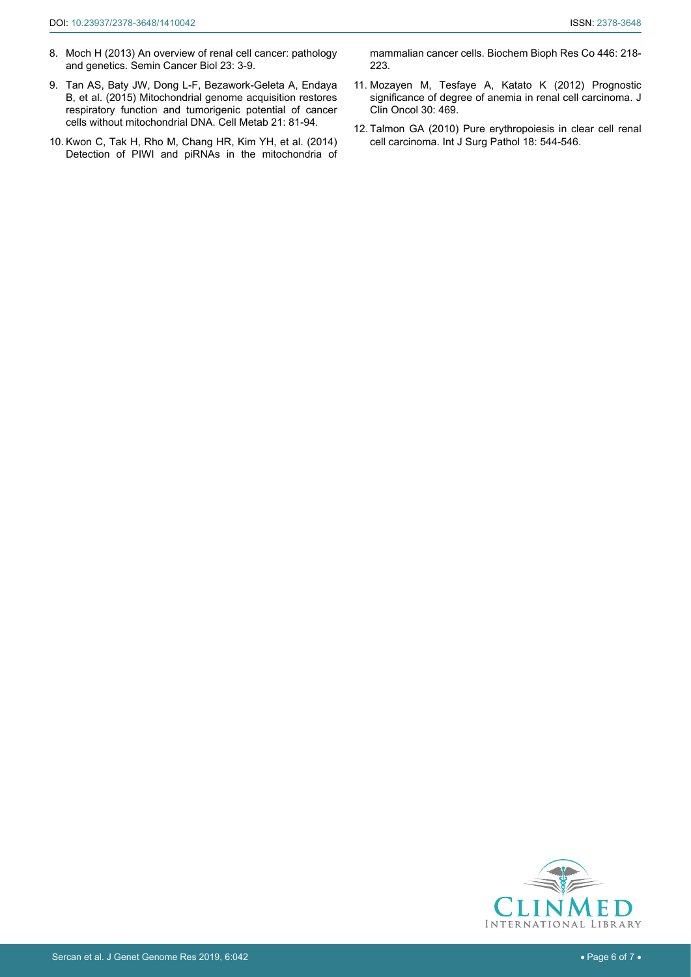- <span id="page-5-0"></span>8. [Moch H \(2013\) An overview of renal cell cancer: pathology](https://www.ncbi.nlm.nih.gov/pubmed/22722066)  [and genetics. Semin Cancer Biol 23: 3-9.](https://www.ncbi.nlm.nih.gov/pubmed/22722066)
- <span id="page-5-1"></span>9. [Tan AS, Baty JW, Dong L-F, Bezawork-Geleta A, Endaya](https://www.ncbi.nlm.nih.gov/pubmed/25565207)  [B, et al. \(2015\) Mitochondrial genome acquisition restores](https://www.ncbi.nlm.nih.gov/pubmed/25565207)  [respiratory function and tumorigenic potential of cancer](https://www.ncbi.nlm.nih.gov/pubmed/25565207)  [cells without mitochondrial DNA. Cell Metab 21: 81-94.](https://www.ncbi.nlm.nih.gov/pubmed/25565207)
- <span id="page-5-2"></span>10. [Kwon C, Tak H, Rho M, Chang HR, Kim YH, et al. \(2014\)](https://www.ncbi.nlm.nih.gov/pubmed/24602614)  [Detection of PIWI and piRNAs in the mitochondria of](https://www.ncbi.nlm.nih.gov/pubmed/24602614)

[mammalian cancer cells. Biochem Bioph Res Co 446: 218-](https://www.ncbi.nlm.nih.gov/pubmed/24602614) [223.](https://www.ncbi.nlm.nih.gov/pubmed/24602614)

- <span id="page-5-3"></span>11. [Mozayen M, Tesfaye A, Katato K \(2012\) Prognostic](http://ascopubs.org/doi/abs/10.1200/jco.2012.30.5_suppl.469)  [significance of degree of anemia in renal cell carcinoma. J](http://ascopubs.org/doi/abs/10.1200/jco.2012.30.5_suppl.469)  [Clin Oncol 30: 469.](http://ascopubs.org/doi/abs/10.1200/jco.2012.30.5_suppl.469)
- <span id="page-5-4"></span>12. [Talmon GA \(2010\) Pure erythropoiesis in clear cell renal](https://www.ncbi.nlm.nih.gov/pubmed/20667923)  [cell carcinoma. Int J Surg Pathol 18: 544-546.](https://www.ncbi.nlm.nih.gov/pubmed/20667923)